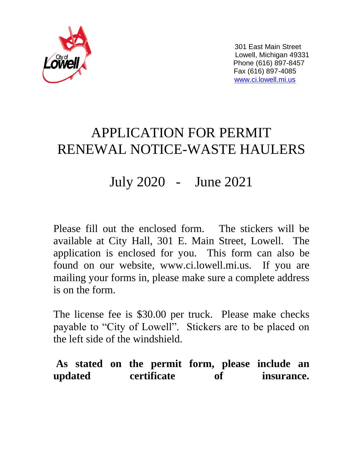

 301 East Main Street Lowell, Michigan 49331 Phone (616) 897-8457 Fax (616) 897-4085 [www.ci.lowell.mi.us](http://www.ci.lowell.mi.us/)

# APPLICATION FOR PERMIT RENEWAL NOTICE-WASTE HAULERS

## July 2020 - June 2021

Please fill out the enclosed form. The stickers will be available at City Hall, 301 E. Main Street, Lowell. The application is enclosed for you. This form can also be found on our website, www.ci.lowell.mi.us. If you are mailing your forms in, please make sure a complete address is on the form.

The license fee is \$30.00 per truck. Please make checks payable to "City of Lowell". Stickers are to be placed on the left side of the windshield.

**As stated on the permit form, please include an updated certificate of insurance.**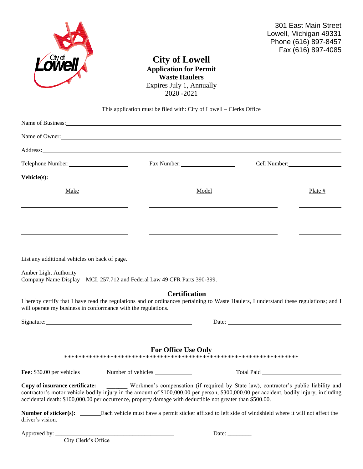

301 East Main Street Lowell, Michigan 49331 Phone (616) 897-8457 Fax (616) 897-4085

### **City of Lowell Application for Permit Waste Haulers** Expires July 1, Annually 2020 -2021

#### This application must be filed with: City of Lowell – Clerks Office

|                                               | Name of Owner:                         |                          |  |
|-----------------------------------------------|----------------------------------------|--------------------------|--|
|                                               | Address: <u>Address:</u> Address: 2007 |                          |  |
| Telephone Number:                             | Fax Number:                            | Cell Number:<br><u> </u> |  |
| Vehicle(s):                                   |                                        |                          |  |
| Make                                          | Model                                  | Plate $#$                |  |
|                                               |                                        |                          |  |
|                                               |                                        |                          |  |
|                                               |                                        |                          |  |
|                                               |                                        |                          |  |
| List any additional vehicles on back of page. |                                        |                          |  |

Amber Light Authority – Company Name Display – MCL 257.712 and Federal Law 49 CFR Parts 390-399.

#### **Certification**

I hereby certify that I have read the regulations and or ordinances pertaining to Waste Haulers, I understand these regulations; and I will operate my business in conformance with the regulations.

| Signature: | Date: |
|------------|-------|
|            |       |

| .<br>. |  |
|--------|--|
|        |  |

#### **For Office Use Only**

\*\*\*\*\*\*\*\*\*\*\*\*\*\*\*\*\*\*\*\*\*\*\*\*\*\*\*\*\*\*\*\*\*\*\*\*\*\*\*\*\*\*\*\*\*\*\*\*\*\*\*\*\*\*\*\*\*\*\*\*\*\*\*\*\*\*

Fee: \$30.00 per vehicles Number of vehicles Number of vehicles Total Paid

**Copy of insurance certificate:** \_\_\_\_\_\_\_ Workmen's compensation (if required by State law), contractor's public liability and contractor's motor vehicle bodily injury in the amount of \$100,000.00 per person, \$300,000.00 per accident, bodily injury, including accidental death: \$100,000.00 per occurrence, property damage with deductible not greater than \$500.00.

**Number of sticker(s):** Each vehicle must have a permit sticker affixed to left side of windshield where it will not affect the driver's vision.

City Clerk's Office

Approved by: \_\_\_\_\_\_\_\_\_\_\_\_\_\_\_\_\_\_\_\_\_\_\_\_\_\_\_\_\_\_\_\_\_\_\_\_\_\_\_\_ Date: \_\_\_\_\_\_\_\_